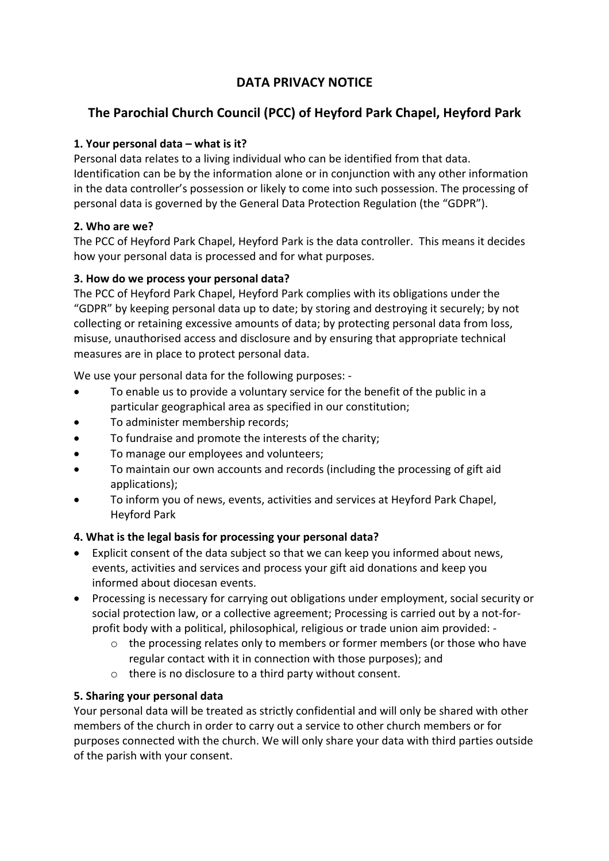## **DATA PRIVACY NOTICE**

# **The Parochial Church Council (PCC) of Heyford Park Chapel, Heyford Park**

## **1. Your personal data – what is it?**

Personal data relates to a living individual who can be identified from that data. Identification can be by the information alone or in conjunction with any other information in the data controller's possession or likely to come into such possession. The processing of personal data is governed by the General Data Protection Regulation (the "GDPR").

## **2. Who are we?**

The PCC of Heyford Park Chapel, Heyford Park is the data controller. This means it decides how your personal data is processed and for what purposes.

## **3. How do we process your personal data?**

The PCC of Heyford Park Chapel, Heyford Park complies with its obligations under the "GDPR" by keeping personal data up to date; by storing and destroying it securely; by not collecting or retaining excessive amounts of data; by protecting personal data from loss, misuse, unauthorised access and disclosure and by ensuring that appropriate technical measures are in place to protect personal data.

We use your personal data for the following purposes: -

- To enable us to provide a voluntary service for the benefit of the public in a particular geographical area as specified in our constitution;
- To administer membership records;
- To fundraise and promote the interests of the charity;
- To manage our employees and volunteers;
- To maintain our own accounts and records (including the processing of gift aid applications);
- To inform you of news, events, activities and services at Heyford Park Chapel, Heyford Park

## **4. What is the legal basis for processing your personal data?**

- Explicit consent of the data subject so that we can keep you informed about news, events, activities and services and process your gift aid donations and keep you informed about diocesan events.
- Processing is necessary for carrying out obligations under employment, social security or social protection law, or a collective agreement; Processing is carried out by a not-forprofit body with a political, philosophical, religious or trade union aim provided: -
	- $\circ$  the processing relates only to members or former members (or those who have regular contact with it in connection with those purposes); and
	- o there is no disclosure to a third party without consent.

## **5. Sharing your personal data**

Your personal data will be treated as strictly confidential and will only be shared with other members of the church in order to carry out a service to other church members or for purposes connected with the church. We will only share your data with third parties outside of the parish with your consent.